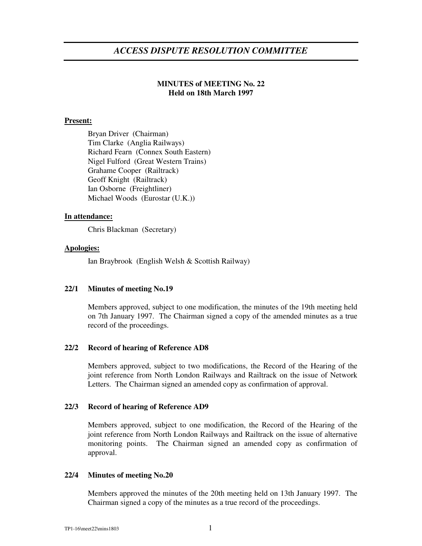# **MINUTES of MEETING No. 22 Held on 18th March 1997**

## **Present:**

Bryan Driver (Chairman) Tim Clarke (Anglia Railways) Richard Fearn (Connex South Eastern) Nigel Fulford (Great Western Trains) Grahame Cooper (Railtrack) Geoff Knight (Railtrack) Ian Osborne (Freightliner) Michael Woods (Eurostar (U.K.))

## **In attendance:**

Chris Blackman (Secretary)

## **Apologies:**

Ian Braybrook (English Welsh & Scottish Railway)

## **22/1 Minutes of meeting No.19**

Members approved, subject to one modification, the minutes of the 19th meeting held on 7th January 1997. The Chairman signed a copy of the amended minutes as a true record of the proceedings.

## **22/2 Record of hearing of Reference AD8**

Members approved, subject to two modifications, the Record of the Hearing of the joint reference from North London Railways and Railtrack on the issue of Network Letters. The Chairman signed an amended copy as confirmation of approval.

### **22/3 Record of hearing of Reference AD9**

Members approved, subject to one modification, the Record of the Hearing of the joint reference from North London Railways and Railtrack on the issue of alternative monitoring points. The Chairman signed an amended copy as confirmation of approval.

### **22/4 Minutes of meeting No.20**

Members approved the minutes of the 20th meeting held on 13th January 1997. The Chairman signed a copy of the minutes as a true record of the proceedings.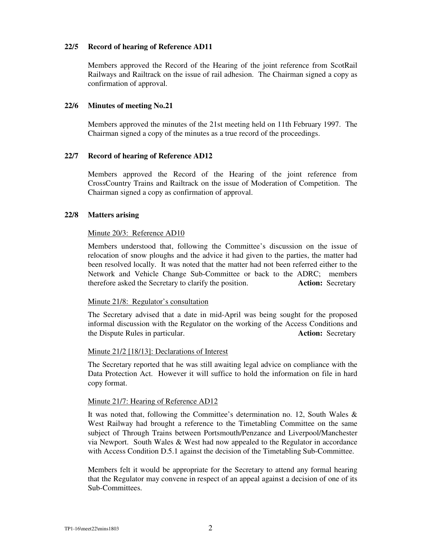## **22/5 Record of hearing of Reference AD11**

Members approved the Record of the Hearing of the joint reference from ScotRail Railways and Railtrack on the issue of rail adhesion. The Chairman signed a copy as confirmation of approval.

## **22/6 Minutes of meeting No.21**

Members approved the minutes of the 21st meeting held on 11th February 1997. The Chairman signed a copy of the minutes as a true record of the proceedings.

### **22/7 Record of hearing of Reference AD12**

Members approved the Record of the Hearing of the joint reference from CrossCountry Trains and Railtrack on the issue of Moderation of Competition. The Chairman signed a copy as confirmation of approval.

## **22/8 Matters arising**

## Minute 20/3: Reference AD10

Members understood that, following the Committee's discussion on the issue of relocation of snow ploughs and the advice it had given to the parties, the matter had been resolved locally. It was noted that the matter had not been referred either to the Network and Vehicle Change Sub-Committee or back to the ADRC; members therefore asked the Secretary to clarify the position. **Action:** Secretary

### Minute 21/8: Regulator's consultation

The Secretary advised that a date in mid-April was being sought for the proposed informal discussion with the Regulator on the working of the Access Conditions and the Dispute Rules in particular. **Action:** Secretary

### Minute 21/2 [18/13]: Declarations of Interest

The Secretary reported that he was still awaiting legal advice on compliance with the Data Protection Act. However it will suffice to hold the information on file in hard copy format.

### Minute 21/7: Hearing of Reference AD12

It was noted that, following the Committee's determination no. 12, South Wales & West Railway had brought a reference to the Timetabling Committee on the same subject of Through Trains between Portsmouth/Penzance and Liverpool/Manchester via Newport. South Wales & West had now appealed to the Regulator in accordance with Access Condition D.5.1 against the decision of the Timetabling Sub-Committee.

Members felt it would be appropriate for the Secretary to attend any formal hearing that the Regulator may convene in respect of an appeal against a decision of one of its Sub-Committees.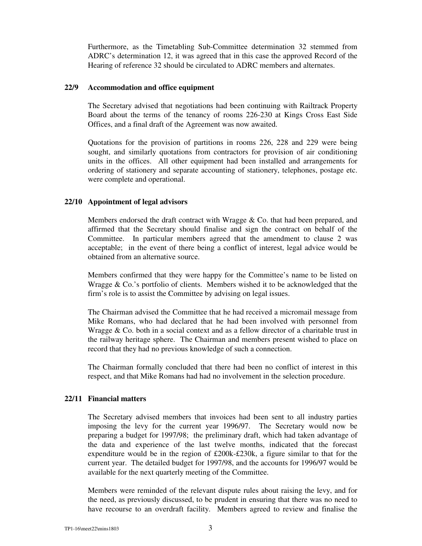Furthermore, as the Timetabling Sub-Committee determination 32 stemmed from ADRC's determination 12, it was agreed that in this case the approved Record of the Hearing of reference 32 should be circulated to ADRC members and alternates.

## **22/9 Accommodation and office equipment**

The Secretary advised that negotiations had been continuing with Railtrack Property Board about the terms of the tenancy of rooms 226-230 at Kings Cross East Side Offices, and a final draft of the Agreement was now awaited.

Quotations for the provision of partitions in rooms 226, 228 and 229 were being sought, and similarly quotations from contractors for provision of air conditioning units in the offices. All other equipment had been installed and arrangements for ordering of stationery and separate accounting of stationery, telephones, postage etc. were complete and operational.

#### **22/10 Appointment of legal advisors**

Members endorsed the draft contract with Wragge & Co. that had been prepared, and affirmed that the Secretary should finalise and sign the contract on behalf of the Committee. In particular members agreed that the amendment to clause 2 was acceptable; in the event of there being a conflict of interest, legal advice would be obtained from an alternative source.

Members confirmed that they were happy for the Committee's name to be listed on Wragge & Co.'s portfolio of clients. Members wished it to be acknowledged that the firm's role is to assist the Committee by advising on legal issues.

The Chairman advised the Committee that he had received a micromail message from Mike Romans, who had declared that he had been involved with personnel from Wragge & Co. both in a social context and as a fellow director of a charitable trust in the railway heritage sphere. The Chairman and members present wished to place on record that they had no previous knowledge of such a connection.

The Chairman formally concluded that there had been no conflict of interest in this respect, and that Mike Romans had had no involvement in the selection procedure.

## **22/11 Financial matters**

The Secretary advised members that invoices had been sent to all industry parties imposing the levy for the current year 1996/97. The Secretary would now be preparing a budget for 1997/98; the preliminary draft, which had taken advantage of the data and experience of the last twelve months, indicated that the forecast expenditure would be in the region of £200k-£230k, a figure similar to that for the current year. The detailed budget for 1997/98, and the accounts for 1996/97 would be available for the next quarterly meeting of the Committee.

Members were reminded of the relevant dispute rules about raising the levy, and for the need, as previously discussed, to be prudent in ensuring that there was no need to have recourse to an overdraft facility. Members agreed to review and finalise the